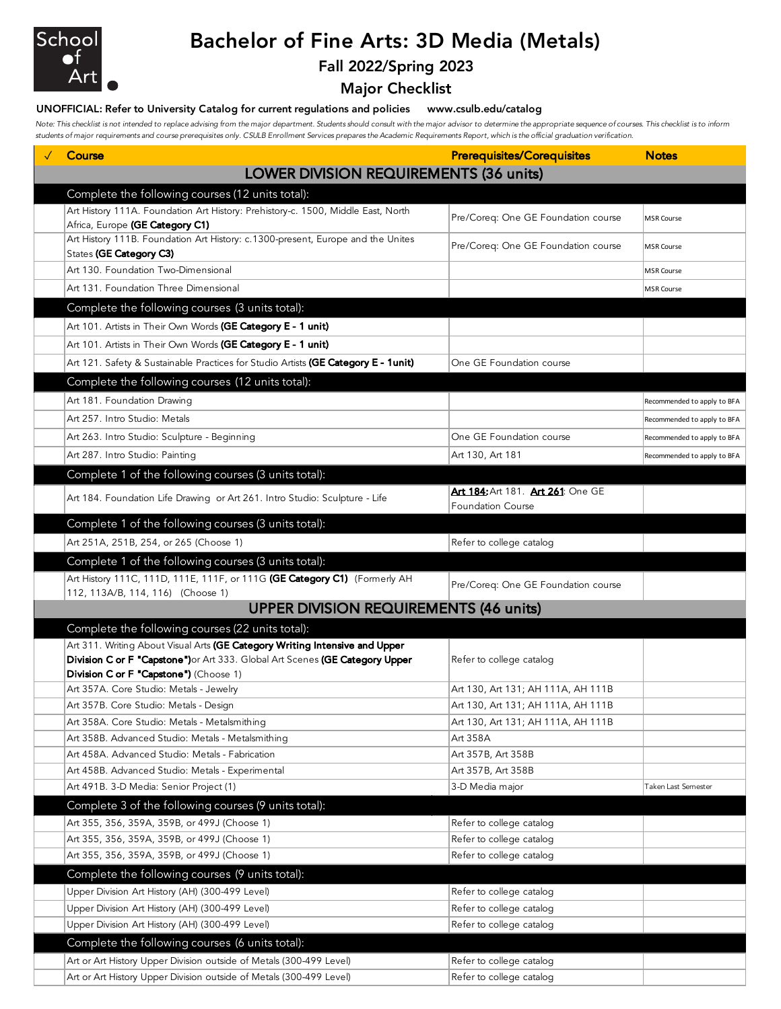

# Bachelor of Fine Arts: 3D Media (Metals)

### Fall 2022/Spring 2023

Major Checklist

#### UNOFFICIAL: Refer to University Catalog for current regulations and policies www.csulb.edu/catalog

*Note: This checklist is not intended to replace advising from the major department. Students should consult with the major advisor to determine the appropriate sequence of courses. This checklist is to inform students of major requirements and course prerequisites only. CSULB Enrollment Services prepares the Academic Requirements Report, which is the official graduation verification.*

| Course                                                                                                                                                      | <b>Prerequisites/Corequisites</b>   | <b>Notes</b>                |
|-------------------------------------------------------------------------------------------------------------------------------------------------------------|-------------------------------------|-----------------------------|
| <b>LOWER DIVISION REQUIREMENTS (36 units)</b>                                                                                                               |                                     |                             |
| Complete the following courses (12 units total):                                                                                                            |                                     |                             |
| Art History 111A. Foundation Art History: Prehistory-c. 1500, Middle East, North                                                                            | Pre/Coreq: One GE Foundation course | <b>MSR Course</b>           |
| Africa, Europe (GE Category C1)<br>Art History 111B. Foundation Art History: c.1300-present, Europe and the Unites                                          |                                     |                             |
| States (GE Category C3)                                                                                                                                     | Pre/Coreq: One GE Foundation course | <b>MSR Course</b>           |
| Art 130. Foundation Two-Dimensional                                                                                                                         |                                     | <b>MSR Course</b>           |
| Art 131. Foundation Three Dimensional                                                                                                                       |                                     | <b>MSR Course</b>           |
| Complete the following courses (3 units total):                                                                                                             |                                     |                             |
| Art 101. Artists in Their Own Words (GE Category E - 1 unit)                                                                                                |                                     |                             |
| Art 101. Artists in Their Own Words (GE Category E - 1 unit)                                                                                                |                                     |                             |
| Art 121. Safety & Sustainable Practices for Studio Artists (GE Category E - 1unit)                                                                          | One GE Foundation course            |                             |
|                                                                                                                                                             |                                     |                             |
| Complete the following courses (12 units total):                                                                                                            |                                     |                             |
| Art 181. Foundation Drawing                                                                                                                                 |                                     | Recommended to apply to BFA |
| Art 257. Intro Studio: Metals                                                                                                                               |                                     | Recommended to apply to BFA |
| Art 263. Intro Studio: Sculpture - Beginning                                                                                                                | One GE Foundation course            | Recommended to apply to BFA |
| Art 287. Intro Studio: Painting                                                                                                                             | Art 130, Art 181                    | Recommended to apply to BFA |
| Complete 1 of the following courses (3 units total):                                                                                                        |                                     |                             |
| Art 184. Foundation Life Drawing or Art 261. Intro Studio: Sculpture - Life                                                                                 | Art 184: Art 181. Art 261: One GE   |                             |
|                                                                                                                                                             | <b>Foundation Course</b>            |                             |
| Complete 1 of the following courses (3 units total):                                                                                                        |                                     |                             |
| Art 251A, 251B, 254, or 265 (Choose 1)                                                                                                                      | Refer to college catalog            |                             |
| Complete 1 of the following courses (3 units total):                                                                                                        |                                     |                             |
| Art History 111C, 111D, 111E, 111F, or 111G (GE Category C1) (Formerly AH                                                                                   | Pre/Coreq: One GE Foundation course |                             |
| 112, 113A/B, 114, 116) (Choose 1)                                                                                                                           |                                     |                             |
| <b>UPPER DIVISION REQUIREMENTS (46 units)</b>                                                                                                               |                                     |                             |
| Complete the following courses (22 units total):                                                                                                            |                                     |                             |
| Art 311. Writing About Visual Arts (GE Category Writing Intensive and Upper<br>Division C or F "Capstone") or Art 333. Global Art Scenes (GE Category Upper | Refer to college catalog            |                             |
| Division C or F "Capstone") (Choose 1)                                                                                                                      |                                     |                             |
| Art 357A. Core Studio: Metals - Jewelry                                                                                                                     | Art 130, Art 131; AH 111A, AH 111B  |                             |
| Art 357B. Core Studio: Metals - Design                                                                                                                      | Art 130, Art 131; AH 111A, AH 111B  |                             |
| Art 358A. Core Studio: Metals - Metalsmithing                                                                                                               | Art 130, Art 131; AH 111A, AH 111B  |                             |
| Art 358B. Advanced Studio: Metals - Metalsmithing                                                                                                           | Art 358A                            |                             |
| Art 458A. Advanced Studio: Metals - Fabrication                                                                                                             | Art 357B, Art 358B                  |                             |
| Art 458B. Advanced Studio: Metals - Experimental                                                                                                            | Art 357B, Art 358B                  |                             |
| Art 491B. 3-D Media: Senior Project (1)                                                                                                                     | 3-D Media major                     | Taken Last Semester         |
| Complete 3 of the following courses (9 units total):                                                                                                        |                                     |                             |
| Art 355, 356, 359A, 359B, or 499J (Choose 1)                                                                                                                | Refer to college catalog            |                             |
| Art 355, 356, 359A, 359B, or 499J (Choose 1)                                                                                                                | Refer to college catalog            |                             |
| Art 355, 356, 359A, 359B, or 499J (Choose 1)                                                                                                                | Refer to college catalog            |                             |
| Complete the following courses (9 units total):                                                                                                             |                                     |                             |
| Upper Division Art History (AH) (300-499 Level)                                                                                                             | Refer to college catalog            |                             |
| Upper Division Art History (AH) (300-499 Level)                                                                                                             | Refer to college catalog            |                             |
| Upper Division Art History (AH) (300-499 Level)                                                                                                             | Refer to college catalog            |                             |
| Complete the following courses (6 units total):                                                                                                             |                                     |                             |
| Art or Art History Upper Division outside of Metals (300-499 Level)                                                                                         | Refer to college catalog            |                             |
| Art or Art History Upper Division outside of Metals (300-499 Level)                                                                                         | Refer to college catalog            |                             |